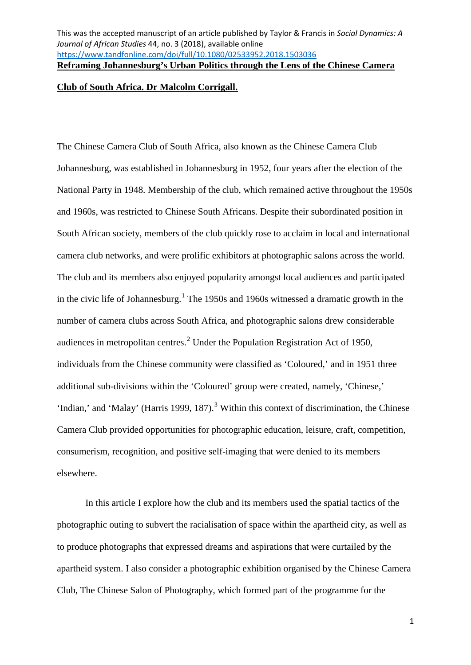### **Club of South Africa. Dr Malcolm Corrigall.**

The Chinese Camera Club of South Africa, also known as the Chinese Camera Club Johannesburg, was established in Johannesburg in 1952, four years after the election of the National Party in 1948. Membership of the club, which remained active throughout the 1950s and 1960s, was restricted to Chinese South Africans. Despite their subordinated position in South African society, members of the club quickly rose to acclaim in local and international camera club networks, and were prolific exhibitors at photographic salons across the world. The club and its members also enjoyed popularity amongst local audiences and participated in the civic life of Johannesburg. [1](#page-3-0) The 1950s and 1960s witnessed a dramatic growth in the number of camera clubs across South Africa, and photographic salons drew considerable audiences in metropolitan centres. [2](#page-3-1) Under the Population Registration Act of 1950, individuals from the Chinese community were classified as 'Coloured,' and in 1951 three additional sub-divisions within the 'Coloured' group were created, namely, 'Chinese,' 'Indian,' and 'Malay' (Harris 1999, 187).<sup>[3](#page-3-2)</sup> Within this context of discrimination, the Chinese Camera Club provided opportunities for photographic education, leisure, craft, competition, consumerism, recognition, and positive self-imaging that were denied to its members elsewhere.

In this article I explore how the club and its members used the spatial tactics of the photographic outing to subvert the racialisation of space within the apartheid city, as well as to produce photographs that expressed dreams and aspirations that were curtailed by the apartheid system. I also consider a photographic exhibition organised by the Chinese Camera Club, The Chinese Salon of Photography, which formed part of the programme for the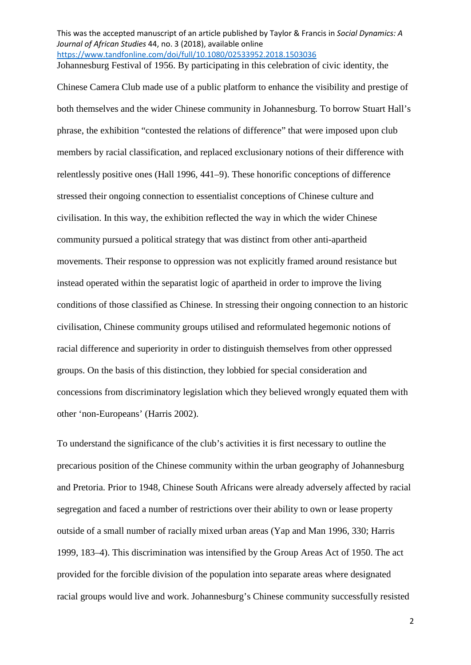This was the accepted manuscript of an article published by Taylor & Francis in *Social Dynamics: A Journal of African Studies* 44, no. 3 (2018), available online <https://www.tandfonline.com/doi/full/10.1080/02533952.2018.1503036> Johannesburg Festival of 1956. By participating in this celebration of civic identity, the

Chinese Camera Club made use of a public platform to enhance the visibility and prestige of both themselves and the wider Chinese community in Johannesburg. To borrow Stuart Hall's phrase, the exhibition "contested the relations of difference" that were imposed upon club members by racial classification, and replaced exclusionary notions of their difference with relentlessly positive ones (Hall 1996, 441–9). These honorific conceptions of difference stressed their ongoing connection to essentialist conceptions of Chinese culture and civilisation. In this way, the exhibition reflected the way in which the wider Chinese community pursued a political strategy that was distinct from other anti-apartheid movements. Their response to oppression was not explicitly framed around resistance but instead operated within the separatist logic of apartheid in order to improve the living conditions of those classified as Chinese. In stressing their ongoing connection to an historic civilisation, Chinese community groups utilised and reformulated hegemonic notions of racial difference and superiority in order to distinguish themselves from other oppressed groups. On the basis of this distinction, they lobbied for special consideration and concessions from discriminatory legislation which they believed wrongly equated them with other 'non-Europeans' (Harris 2002).

To understand the significance of the club's activities it is first necessary to outline the precarious position of the Chinese community within the urban geography of Johannesburg and Pretoria. Prior to 1948, Chinese South Africans were already adversely affected by racial segregation and faced a number of restrictions over their ability to own or lease property outside of a small number of racially mixed urban areas (Yap and Man 1996, 330; Harris 1999, 183–4). This discrimination was intensified by the Group Areas Act of 1950. The act provided for the forcible division of the population into separate areas where designated racial groups would live and work. Johannesburg's Chinese community successfully resisted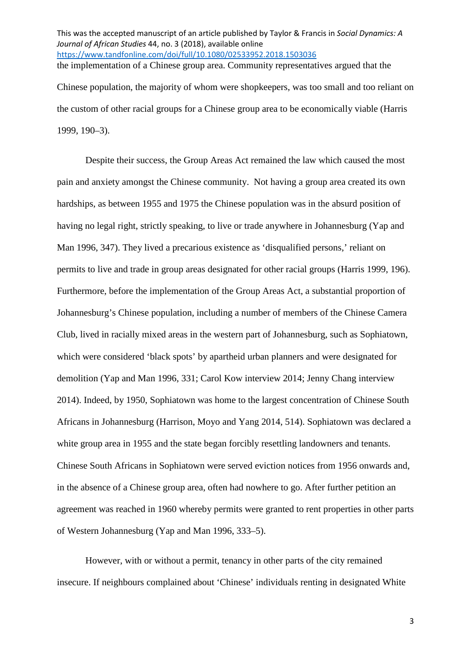This was the accepted manuscript of an article published by Taylor & Francis in *Social Dynamics: A Journal of African Studies* 44, no. 3 (2018), available online <https://www.tandfonline.com/doi/full/10.1080/02533952.2018.1503036> the implementation of a Chinese group area. Community representatives argued that the Chinese population, the majority of whom were shopkeepers, was too small and too reliant on the custom of other racial groups for a Chinese group area to be economically viable (Harris 1999, 190–3).

Despite their success, the Group Areas Act remained the law which caused the most pain and anxiety amongst the Chinese community. Not having a group area created its own hardships, as between 1955 and 1975 the Chinese population was in the absurd position of having no legal right, strictly speaking, to live or trade anywhere in Johannesburg (Yap and Man 1996, 347). They lived a precarious existence as 'disqualified persons,' reliant on permits to live and trade in group areas designated for other racial groups (Harris 1999, 196). Furthermore, before the implementation of the Group Areas Act, a substantial proportion of Johannesburg's Chinese population, including a number of members of the Chinese Camera Club, lived in racially mixed areas in the western part of Johannesburg, such as Sophiatown, which were considered 'black spots' by apartheid urban planners and were designated for demolition (Yap and Man 1996, 331; Carol Kow interview 2014; Jenny Chang interview 2014). Indeed, by 1950, Sophiatown was home to the largest concentration of Chinese South Africans in Johannesburg (Harrison, Moyo and Yang 2014, 514). Sophiatown was declared a white group area in 1955 and the state began forcibly resettling landowners and tenants. Chinese South Africans in Sophiatown were served eviction notices from 1956 onwards and, in the absence of a Chinese group area, often had nowhere to go. After further petition an agreement was reached in 1960 whereby permits were granted to rent properties in other parts of Western Johannesburg (Yap and Man 1996, 333–5).

However, with or without a permit, tenancy in other parts of the city remained insecure. If neighbours complained about 'Chinese' individuals renting in designated White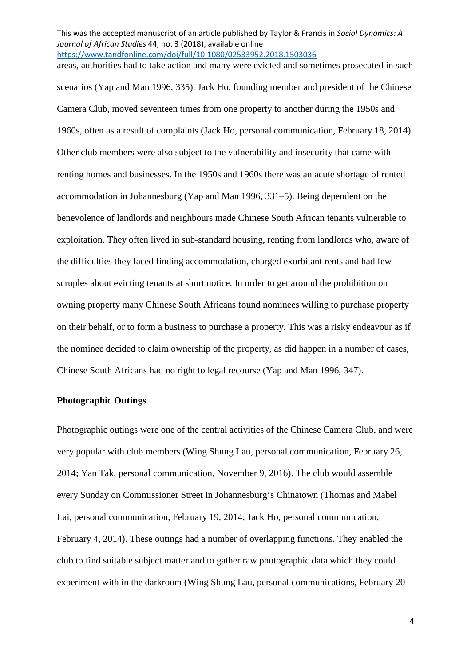This was the accepted manuscript of an article published by Taylor & Francis in *Social Dynamics: A Journal of African Studies* 44, no. 3 (2018), available online <https://www.tandfonline.com/doi/full/10.1080/02533952.2018.1503036> areas, authorities had to take action and many were evicted and sometimes prosecuted in such

<span id="page-3-1"></span><span id="page-3-0"></span>scenarios (Yap and Man 1996, 335). Jack Ho, founding member and president of the Chinese Camera Club, moved seventeen times from one property to another during the 1950s and 1960s, often as a result of complaints (Jack Ho, personal communication, February 18, 2014). Other club members were also subject to the vulnerability and insecurity that came with renting homes and businesses. In the 1950s and 1960s there was an acute shortage of rented accommodation in Johannesburg (Yap and Man 1996, 331–5). Being dependent on the benevolence of landlords and neighbours made Chinese South African tenants vulnerable to exploitation. They often lived in sub-standard housing, renting from landlords who, aware of the difficulties they faced finding accommodation, charged exorbitant rents and had few scruples about evicting tenants at short notice. In order to get around the prohibition on owning property many Chinese South Africans found nominees willing to purchase property on their behalf, or to form a business to purchase a property. This was a risky endeavour as if the nominee decided to claim ownership of the property, as did happen in a number of cases, Chinese South Africans had no right to legal recourse (Yap and Man 1996, 347).

## <span id="page-3-2"></span>**Photographic Outings**

Photographic outings were one of the central activities of the Chinese Camera Club, and were very popular with club members (Wing Shung Lau, personal communication, February 26, 2014; Yan Tak, personal communication, November 9, 2016). The club would assemble every Sunday on Commissioner Street in Johannesburg's Chinatown (Thomas and Mabel Lai, personal communication, February 19, 2014; Jack Ho, personal communication, February 4, 2014). These outings had a number of overlapping functions. They enabled the club to find suitable subject matter and to gather raw photographic data which they could experiment with in the darkroom (Wing Shung Lau, personal communications, February 20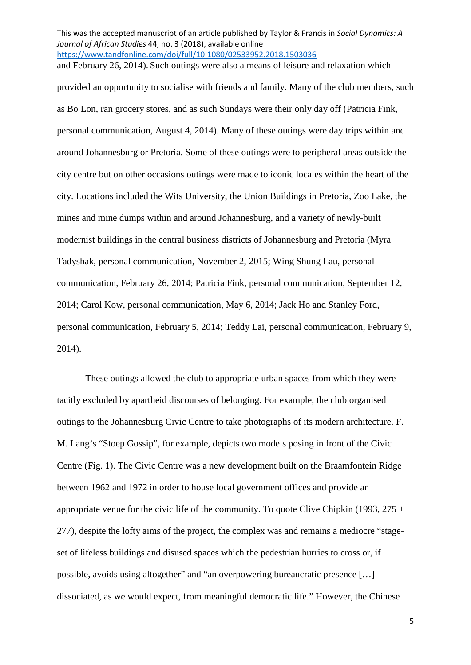This was the accepted manuscript of an article published by Taylor & Francis in *Social Dynamics: A Journal of African Studies* 44, no. 3 (2018), available online <https://www.tandfonline.com/doi/full/10.1080/02533952.2018.1503036> and February 26, 2014). Such outings were also a means of leisure and relaxation which

provided an opportunity to socialise with friends and family. Many of the club members, such as Bo Lon, ran grocery stores, and as such Sundays were their only day off (Patricia Fink, personal communication, August 4, 2014). Many of these outings were day trips within and around Johannesburg or Pretoria. Some of these outings were to peripheral areas outside the city centre but on other occasions outings were made to iconic locales within the heart of the city. Locations included the Wits University, the Union Buildings in Pretoria, Zoo Lake, the mines and mine dumps within and around Johannesburg, and a variety of newly-built modernist buildings in the central business districts of Johannesburg and Pretoria (Myra Tadyshak, personal communication, November 2, 2015; Wing Shung Lau, personal communication, February 26, 2014; Patricia Fink, personal communication, September 12, 2014; Carol Kow, personal communication, May 6, 2014; Jack Ho and Stanley Ford, personal communication, February 5, 2014; Teddy Lai, personal communication, February 9, 2014).

<span id="page-4-0"></span>These outings allowed the club to appropriate urban spaces from which they were tacitly excluded by apartheid discourses of belonging. For example, the club organised outings to the Johannesburg Civic Centre to take photographs of its modern architecture. F. M. Lang's "Stoep Gossip", for example, depicts two models posing in front of the Civic Centre (Fig. 1). The Civic Centre was a new development built on the Braamfontein Ridge between 1962 and 1972 in order to house local government offices and provide an appropriate venue for the civic life of the community. To quote Clive Chipkin (1993,  $275 +$ 277), despite the lofty aims of the project, the complex was and remains a mediocre "stageset of lifeless buildings and disused spaces which the pedestrian hurries to cross or, if possible, avoids using altogether" and "an overpowering bureaucratic presence […] dissociated, as we would expect, from meaningful democratic life." However, the Chinese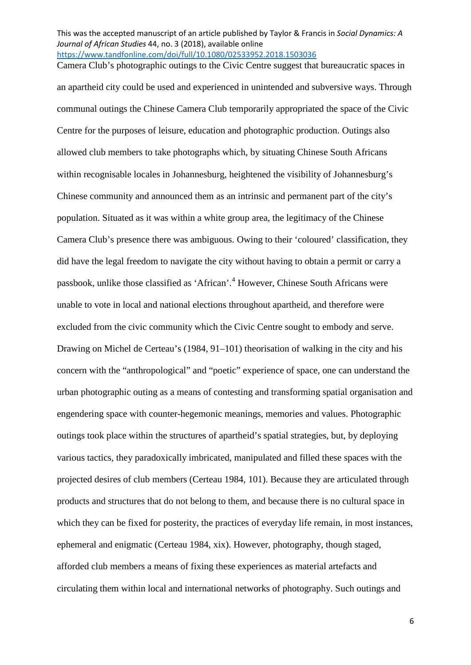This was the accepted manuscript of an article published by Taylor & Francis in *Social Dynamics: A Journal of African Studies* 44, no. 3 (2018), available online <https://www.tandfonline.com/doi/full/10.1080/02533952.2018.1503036> Camera Club's photographic outings to the Civic Centre suggest that bureaucratic spaces in

<span id="page-5-1"></span><span id="page-5-0"></span>an apartheid city could be used and experienced in unintended and subversive ways. Through communal outings the Chinese Camera Club temporarily appropriated the space of the Civic Centre for the purposes of leisure, education and photographic production. Outings also allowed club members to take photographs which, by situating Chinese South Africans within recognisable locales in Johannesburg, heightened the visibility of Johannesburg's Chinese community and announced them as an intrinsic and permanent part of the city's population. Situated as it was within a white group area, the legitimacy of the Chinese Camera Club's presence there was ambiguous. Owing to their 'coloured' classification, they did have the legal freedom to navigate the city without having to obtain a permit or carry a passbook, unlike those classified as 'African'. [4](#page-4-0) However, Chinese South Africans were unable to vote in local and national elections throughout apartheid, and therefore were excluded from the civic community which the Civic Centre sought to embody and serve. Drawing on Michel de Certeau's (1984, 91–101) theorisation of walking in the city and his concern with the "anthropological" and "poetic" experience of space, one can understand the urban photographic outing as a means of contesting and transforming spatial organisation and engendering space with counter-hegemonic meanings, memories and values. Photographic outings took place within the structures of apartheid's spatial strategies, but, by deploying various tactics, they paradoxically imbricated, manipulated and filled these spaces with the projected desires of club members (Certeau 1984, 101). Because they are articulated through products and structures that do not belong to them, and because there is no cultural space in which they can be fixed for posterity, the practices of everyday life remain, in most instances, ephemeral and enigmatic (Certeau 1984, xix). However, photography, though staged, afforded club members a means of fixing these experiences as material artefacts and circulating them within local and international networks of photography. Such outings and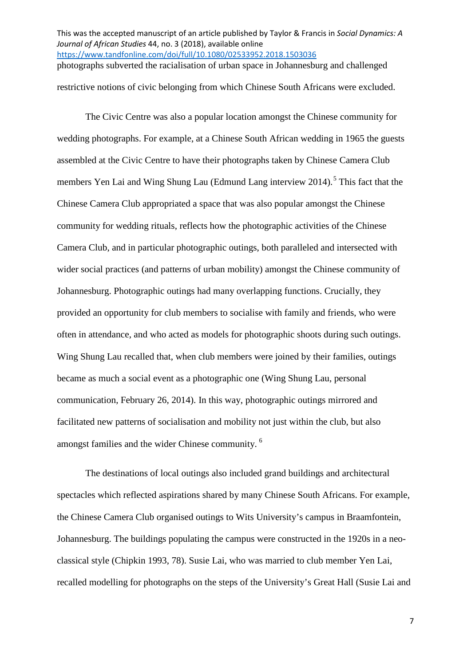This was the accepted manuscript of an article published by Taylor & Francis in *Social Dynamics: A Journal of African Studies* 44, no. 3 (2018), available online <https://www.tandfonline.com/doi/full/10.1080/02533952.2018.1503036> photographs subverted the racialisation of urban space in Johannesburg and challenged

restrictive notions of civic belonging from which Chinese South Africans were excluded.

The Civic Centre was also a popular location amongst the Chinese community for wedding photographs. For example, at a Chinese South African wedding in 1965 the guests assembled at the Civic Centre to have their photographs taken by Chinese Camera Club members Yen Lai and Wing Shung Lau (Edmund Lang interview 2014).<sup>[5](#page-5-0)</sup> This fact that the Chinese Camera Club appropriated a space that was also popular amongst the Chinese community for wedding rituals, reflects how the photographic activities of the Chinese Camera Club, and in particular photographic outings, both paralleled and intersected with wider social practices (and patterns of urban mobility) amongst the Chinese community of Johannesburg. Photographic outings had many overlapping functions. Crucially, they provided an opportunity for club members to socialise with family and friends, who were often in attendance, and who acted as models for photographic shoots during such outings. Wing Shung Lau recalled that, when club members were joined by their families, outings became as much a social event as a photographic one (Wing Shung Lau, personal communication, February 26, 2014). In this way, photographic outings mirrored and facilitated new patterns of socialisation and mobility not just within the club, but also amongst families and the wider Chinese community.<sup>[6](#page-5-1)</sup>

<span id="page-6-1"></span><span id="page-6-0"></span>The destinations of local outings also included grand buildings and architectural spectacles which reflected aspirations shared by many Chinese South Africans. For example, the Chinese Camera Club organised outings to Wits University's campus in Braamfontein, Johannesburg. The buildings populating the campus were constructed in the 1920s in a neoclassical style (Chipkin 1993, 78). Susie Lai, who was married to club member Yen Lai, recalled modelling for photographs on the steps of the University's Great Hall (Susie Lai and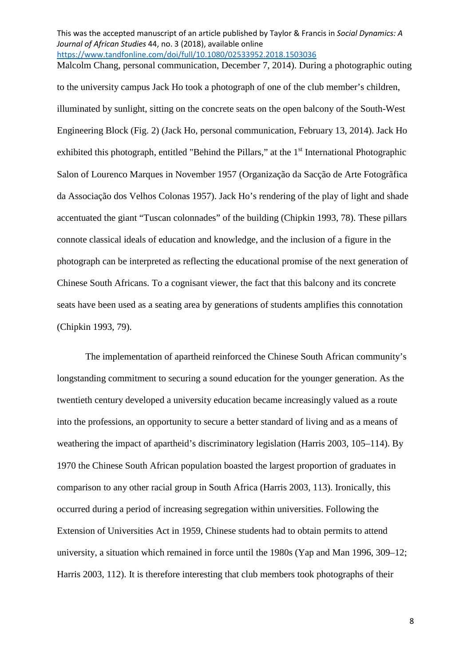This was the accepted manuscript of an article published by Taylor & Francis in *Social Dynamics: A Journal of African Studies* 44, no. 3 (2018), available online <https://www.tandfonline.com/doi/full/10.1080/02533952.2018.1503036> Malcolm Chang, personal communication, December 7, 2014). During a photographic outing

to the university campus Jack Ho took a photograph of one of the club member's children, illuminated by sunlight, sitting on the concrete seats on the open balcony of the South-West Engineering Block (Fig. 2) (Jack Ho, personal communication, February 13, 2014). Jack Ho exhibited this photograph, entitled "Behind the Pillars," at the  $1<sup>st</sup>$  International Photographic Salon of Lourenco Marques in November 1957 (Organização da Sacção de Arte Fotogrãfica da Associação dos Velhos Colonas 1957). Jack Ho's rendering of the play of light and shade accentuated the giant "Tuscan colonnades" of the building (Chipkin 1993, 78). These pillars connote classical ideals of education and knowledge, and the inclusion of a figure in the photograph can be interpreted as reflecting the educational promise of the next generation of Chinese South Africans. To a cognisant viewer, the fact that this balcony and its concrete seats have been used as a seating area by generations of students amplifies this connotation (Chipkin 1993, 79).

<span id="page-7-1"></span><span id="page-7-0"></span>The implementation of apartheid reinforced the Chinese South African community's longstanding commitment to securing a sound education for the younger generation. As the twentieth century developed a university education became increasingly valued as a route into the professions, an opportunity to secure a better standard of living and as a means of weathering the impact of apartheid's discriminatory legislation (Harris 2003, 105–114). By 1970 the Chinese South African population boasted the largest proportion of graduates in comparison to any other racial group in South Africa (Harris 2003, 113). Ironically, this occurred during a period of increasing segregation within universities. Following the Extension of Universities Act in 1959, Chinese students had to obtain permits to attend university, a situation which remained in force until the 1980s (Yap and Man 1996, 309–12; Harris 2003, 112). It is therefore interesting that club members took photographs of their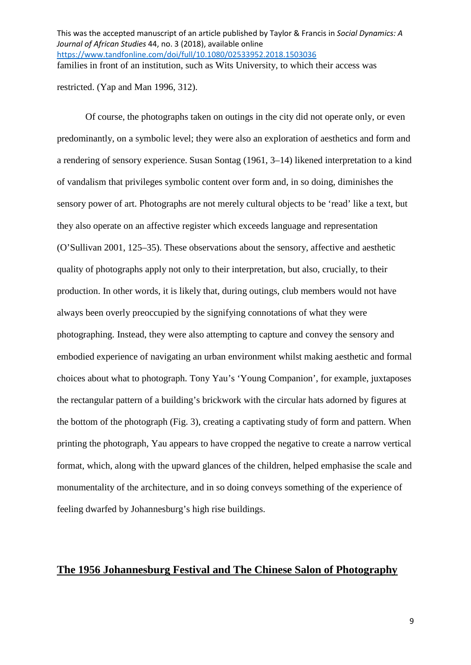This was the accepted manuscript of an article published by Taylor & Francis in *Social Dynamics: A Journal of African Studies* 44, no. 3 (2018), available online <https://www.tandfonline.com/doi/full/10.1080/02533952.2018.1503036> families in front of an institution, such as Wits University, to which their access was

restricted. (Yap and Man 1996, 312).

Of course, the photographs taken on outings in the city did not operate only, or even predominantly, on a symbolic level; they were also an exploration of aesthetics and form and a rendering of sensory experience. Susan Sontag (1961, 3–14) likened interpretation to a kind of vandalism that privileges symbolic content over form and, in so doing, diminishes the sensory power of art. Photographs are not merely cultural objects to be 'read' like a text, but they also operate on an affective register which exceeds language and representation (O'Sullivan 2001, 125–35). These observations about the sensory, affective and aesthetic quality of photographs apply not only to their interpretation, but also, crucially, to their production. In other words, it is likely that, during outings, club members would not have always been overly preoccupied by the signifying connotations of what they were photographing. Instead, they were also attempting to capture and convey the sensory and embodied experience of navigating an urban environment whilst making aesthetic and formal choices about what to photograph. Tony Yau's 'Young Companion', for example, juxtaposes the rectangular pattern of a building's brickwork with the circular hats adorned by figures at the bottom of the photograph (Fig. 3), creating a captivating study of form and pattern. When printing the photograph, Yau appears to have cropped the negative to create a narrow vertical format, which, along with the upward glances of the children, helped emphasise the scale and monumentality of the architecture, and in so doing conveys something of the experience of feeling dwarfed by Johannesburg's high rise buildings.

# **The 1956 Johannesburg Festival and The Chinese Salon of Photography**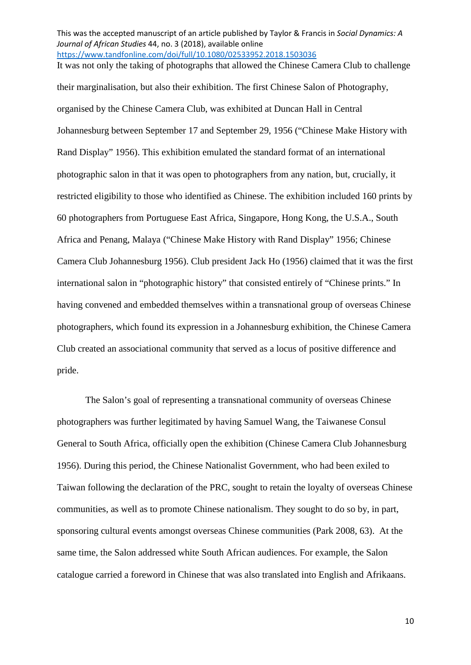This was the accepted manuscript of an article published by Taylor & Francis in *Social Dynamics: A Journal of African Studies* 44, no. 3 (2018), available online <https://www.tandfonline.com/doi/full/10.1080/02533952.2018.1503036> It was not only the taking of photographs that allowed the Chinese Camera Club to challenge

their marginalisation, but also their exhibition. The first Chinese Salon of Photography, organised by the Chinese Camera Club, was exhibited at Duncan Hall in Central Johannesburg between September 17 and September 29, 1956 ("Chinese Make History with Rand Display" 1956). This exhibition emulated the standard format of an international photographic salon in that it was open to photographers from any nation, but, crucially, it restricted eligibility to those who identified as Chinese. The exhibition included 160 prints by 60 photographers from Portuguese East Africa, Singapore, Hong Kong, the U.S.A., South Africa and Penang, Malaya ("Chinese Make History with Rand Display" 1956; Chinese Camera Club Johannesburg 1956). Club president Jack Ho (1956) claimed that it was the first international salon in "photographic history" that consisted entirely of "Chinese prints." In having convened and embedded themselves within a transnational group of overseas Chinese photographers, which found its expression in a Johannesburg exhibition, the Chinese Camera Club created an associational community that served as a locus of positive difference and pride.

The Salon's goal of representing a transnational community of overseas Chinese photographers was further legitimated by having Samuel Wang, the Taiwanese Consul General to South Africa, officially open the exhibition (Chinese Camera Club Johannesburg 1956). During this period, the Chinese Nationalist Government, who had been exiled to Taiwan following the declaration of the PRC, sought to retain the loyalty of overseas Chinese communities, as well as to promote Chinese nationalism. They sought to do so by, in part, sponsoring cultural events amongst overseas Chinese communities (Park 2008, 63). At the same time, the Salon addressed white South African audiences. For example, the Salon catalogue carried a foreword in Chinese that was also translated into English and Afrikaans.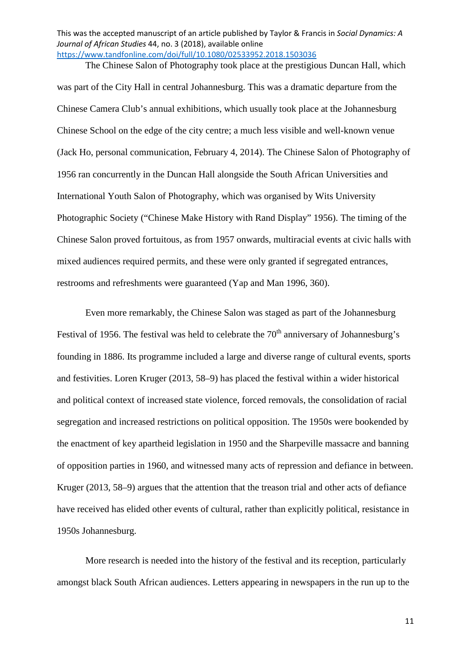The Chinese Salon of Photography took place at the prestigious Duncan Hall, which was part of the City Hall in central Johannesburg. This was a dramatic departure from the Chinese Camera Club's annual exhibitions, which usually took place at the Johannesburg Chinese School on the edge of the city centre; a much less visible and well-known venue (Jack Ho, personal communication, February 4, 2014). The Chinese Salon of Photography of 1956 ran concurrently in the Duncan Hall alongside the South African Universities and International Youth Salon of Photography, which was organised by Wits University Photographic Society ("Chinese Make History with Rand Display" 1956). The timing of the Chinese Salon proved fortuitous, as from 1957 onwards, multiracial events at civic halls with mixed audiences required permits, and these were only granted if segregated entrances, restrooms and refreshments were guaranteed (Yap and Man 1996, 360).

Even more remarkably, the Chinese Salon was staged as part of the Johannesburg Festival of 1956. The festival was held to celebrate the  $70<sup>th</sup>$  anniversary of Johannesburg's founding in 1886. Its programme included a large and diverse range of cultural events, sports and festivities. Loren Kruger (2013, 58–9) has placed the festival within a wider historical and political context of increased state violence, forced removals, the consolidation of racial segregation and increased restrictions on political opposition. The 1950s were bookended by the enactment of key apartheid legislation in 1950 and the Sharpeville massacre and banning of opposition parties in 1960, and witnessed many acts of repression and defiance in between. Kruger (2013, 58–9) argues that the attention that the treason trial and other acts of defiance have received has elided other events of cultural, rather than explicitly political, resistance in 1950s Johannesburg.

More research is needed into the history of the festival and its reception, particularly amongst black South African audiences. Letters appearing in newspapers in the run up to the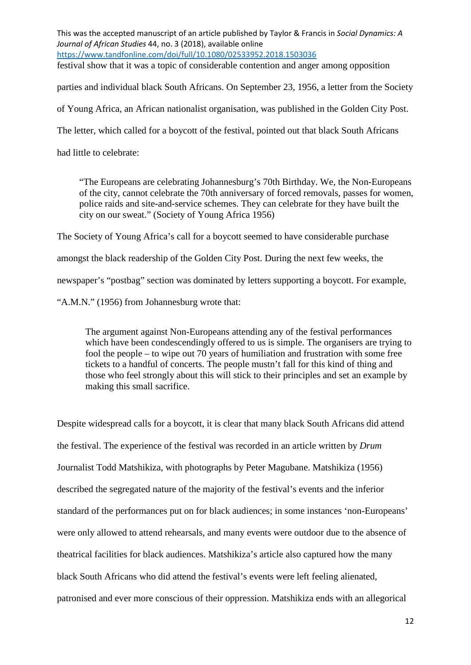This was the accepted manuscript of an article published by Taylor & Francis in *Social Dynamics: A Journal of African Studies* 44, no. 3 (2018), available online <https://www.tandfonline.com/doi/full/10.1080/02533952.2018.1503036> festival show that it was a topic of considerable contention and anger among opposition

parties and individual black South Africans. On September 23, 1956, a letter from the Society

of Young Africa, an African nationalist organisation, was published in the Golden City Post.

The letter, which called for a boycott of the festival, pointed out that black South Africans

had little to celebrate:

"The Europeans are celebrating Johannesburg's 70th Birthday. We, the Non-Europeans of the city, cannot celebrate the 70th anniversary of forced removals, passes for women, police raids and site-and-service schemes. They can celebrate for they have built the city on our sweat." (Society of Young Africa 1956)

The Society of Young Africa's call for a boycott seemed to have considerable purchase

amongst the black readership of the Golden City Post. During the next few weeks, the

newspaper's "postbag" section was dominated by letters supporting a boycott. For example,

"A.M.N." (1956) from Johannesburg wrote that:

The argument against Non-Europeans attending any of the festival performances which have been condescendingly offered to us is simple. The organisers are trying to fool the people – to wipe out 70 years of humiliation and frustration with some free tickets to a handful of concerts. The people mustn't fall for this kind of thing and those who feel strongly about this will stick to their principles and set an example by making this small sacrifice.

Despite widespread calls for a boycott, it is clear that many black South Africans did attend the festival. The experience of the festival was recorded in an article written by *Drum* Journalist Todd Matshikiza, with photographs by Peter Magubane. Matshikiza (1956) described the segregated nature of the majority of the festival's events and the inferior standard of the performances put on for black audiences; in some instances 'non-Europeans' were only allowed to attend rehearsals, and many events were outdoor due to the absence of theatrical facilities for black audiences. Matshikiza's article also captured how the many black South Africans who did attend the festival's events were left feeling alienated, patronised and ever more conscious of their oppression. Matshikiza ends with an allegorical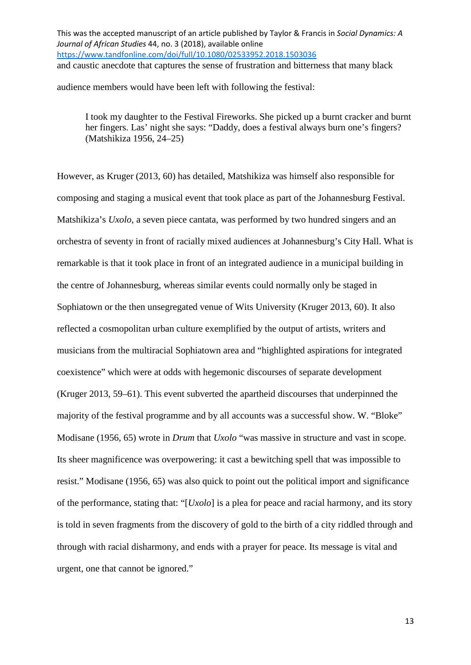This was the accepted manuscript of an article published by Taylor & Francis in *Social Dynamics: A Journal of African Studies* 44, no. 3 (2018), available online <https://www.tandfonline.com/doi/full/10.1080/02533952.2018.1503036> and caustic anecdote that captures the sense of frustration and bitterness that many black

audience members would have been left with following the festival:

I took my daughter to the Festival Fireworks. She picked up a burnt cracker and burnt her fingers. Las' night she says: "Daddy, does a festival always burn one's fingers? (Matshikiza 1956, 24–25)

However, as Kruger (2013, 60) has detailed, Matshikiza was himself also responsible for composing and staging a musical event that took place as part of the Johannesburg Festival. Matshikiza's *Uxolo*, a seven piece cantata, was performed by two hundred singers and an orchestra of seventy in front of racially mixed audiences at Johannesburg's City Hall. What is remarkable is that it took place in front of an integrated audience in a municipal building in the centre of Johannesburg, whereas similar events could normally only be staged in Sophiatown or the then unsegregated venue of Wits University (Kruger 2013, 60). It also reflected a cosmopolitan urban culture exemplified by the output of artists, writers and musicians from the multiracial Sophiatown area and "highlighted aspirations for integrated coexistence" which were at odds with hegemonic discourses of separate development (Kruger 2013, 59–61). This event subverted the apartheid discourses that underpinned the majority of the festival programme and by all accounts was a successful show. W. "Bloke" Modisane (1956, 65) wrote in *Drum* that *Uxolo* "was massive in structure and vast in scope. Its sheer magnificence was overpowering: it cast a bewitching spell that was impossible to resist." Modisane (1956, 65) was also quick to point out the political import and significance of the performance, stating that: "[*Uxolo*] is a plea for peace and racial harmony, and its story is told in seven fragments from the discovery of gold to the birth of a city riddled through and through with racial disharmony, and ends with a prayer for peace. Its message is vital and urgent, one that cannot be ignored."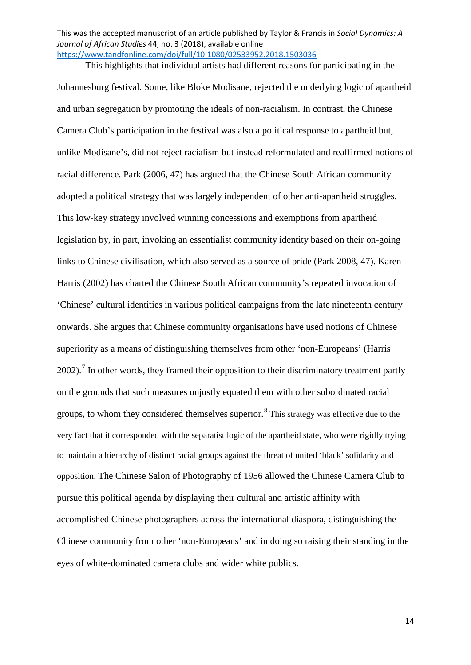This highlights that individual artists had different reasons for participating in the

Johannesburg festival. Some, like Bloke Modisane, rejected the underlying logic of apartheid and urban segregation by promoting the ideals of non-racialism. In contrast, the Chinese Camera Club's participation in the festival was also a political response to apartheid but, unlike Modisane's, did not reject racialism but instead reformulated and reaffirmed notions of racial difference. Park (2006, 47) has argued that the Chinese South African community adopted a political strategy that was largely independent of other anti-apartheid struggles. This low-key strategy involved winning concessions and exemptions from apartheid legislation by, in part, invoking an essentialist community identity based on their on-going links to Chinese civilisation, which also served as a source of pride (Park 2008, 47). Karen Harris (2002) has charted the Chinese South African community's repeated invocation of 'Chinese' cultural identities in various political campaigns from the late nineteenth century onwards. She argues that Chinese community organisations have used notions of Chinese superiority as a means of distinguishing themselves from other 'non-Europeans' (Harris  $2002$ ).<sup>[7](#page-6-0)</sup> In other words, they framed their opposition to their discriminatory treatment partly on the grounds that such measures unjustly equated them with other subordinated racial groups, to whom they considered themselves superior. $8$  This strategy was effective due to the very fact that it corresponded with the separatist logic of the apartheid state, who were rigidly trying to maintain a hierarchy of distinct racial groups against the threat of united 'black' solidarity and opposition. The Chinese Salon of Photography of 1956 allowed the Chinese Camera Club to pursue this political agenda by displaying their cultural and artistic affinity with accomplished Chinese photographers across the international diaspora, distinguishing the Chinese community from other 'non-Europeans' and in doing so raising their standing in the eyes of white-dominated camera clubs and wider white publics.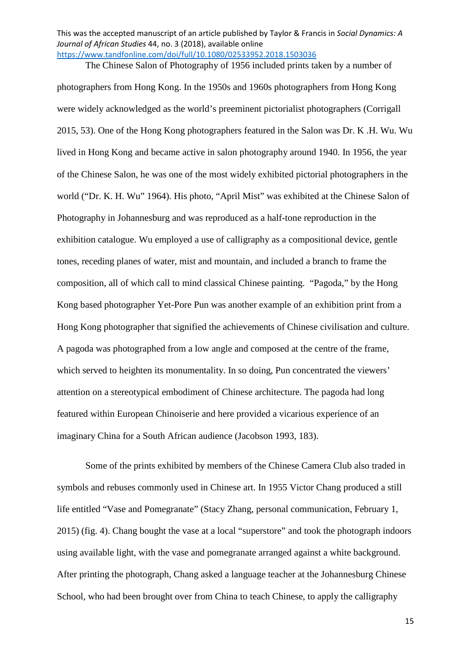The Chinese Salon of Photography of 1956 included prints taken by a number of

photographers from Hong Kong. In the 1950s and 1960s photographers from Hong Kong were widely acknowledged as the world's preeminent pictorialist photographers (Corrigall 2015, 53). One of the Hong Kong photographers featured in the Salon was Dr. K .H. Wu. Wu lived in Hong Kong and became active in salon photography around 1940. In 1956, the year of the Chinese Salon, he was one of the most widely exhibited pictorial photographers in the world ("Dr. K. H. Wu" 1964). His photo, "April Mist" was exhibited at the Chinese Salon of Photography in Johannesburg and was reproduced as a half-tone reproduction in the exhibition catalogue. Wu employed a use of calligraphy as a compositional device, gentle tones, receding planes of water, mist and mountain, and included a branch to frame the composition, all of which call to mind classical Chinese painting. "Pagoda," by the Hong Kong based photographer Yet-Pore Pun was another example of an exhibition print from a Hong Kong photographer that signified the achievements of Chinese civilisation and culture. A pagoda was photographed from a low angle and composed at the centre of the frame, which served to heighten its monumentality. In so doing, Pun concentrated the viewers' attention on a stereotypical embodiment of Chinese architecture. The pagoda had long featured within European Chinoiserie and here provided a vicarious experience of an imaginary China for a South African audience (Jacobson 1993, 183).

Some of the prints exhibited by members of the Chinese Camera Club also traded in symbols and rebuses commonly used in Chinese art. In 1955 Victor Chang produced a still life entitled "Vase and Pomegranate" (Stacy Zhang, personal communication, February 1, 2015) (fig. 4). Chang bought the vase at a local "superstore" and took the photograph indoors using available light, with the vase and pomegranate arranged against a white background. After printing the photograph, Chang asked a language teacher at the Johannesburg Chinese School, who had been brought over from China to teach Chinese, to apply the calligraphy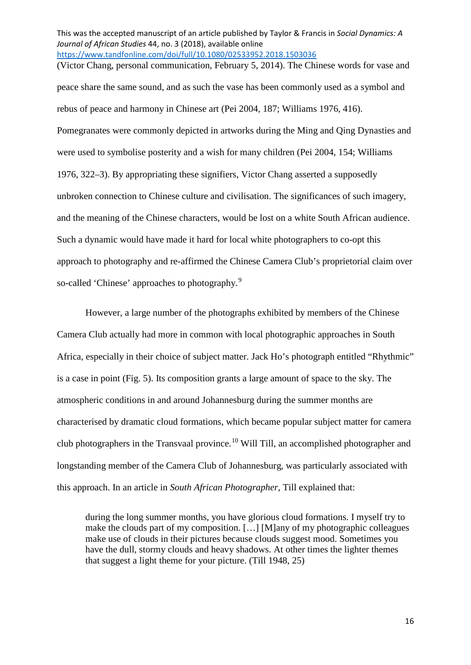This was the accepted manuscript of an article published by Taylor & Francis in *Social Dynamics: A Journal of African Studies* 44, no. 3 (2018), available online <https://www.tandfonline.com/doi/full/10.1080/02533952.2018.1503036> (Victor Chang, personal communication, February 5, 2014). The Chinese words for vase and

peace share the same sound, and as such the vase has been commonly used as a symbol and rebus of peace and harmony in Chinese art (Pei 2004, 187; Williams 1976, 416). Pomegranates were commonly depicted in artworks during the Ming and Qing Dynasties and were used to symbolise posterity and a wish for many children (Pei 2004, 154; Williams 1976, 322–3). By appropriating these signifiers, Victor Chang asserted a supposedly unbroken connection to Chinese culture and civilisation. The significances of such imagery, and the meaning of the Chinese characters, would be lost on a white South African audience. Such a dynamic would have made it hard for local white photographers to co-opt this approach to photography and re-affirmed the Chinese Camera Club's proprietorial claim over so-called 'Chinese' approaches to photography.<sup>[9](#page-7-0)</sup>

However, a large number of the photographs exhibited by members of the Chinese Camera Club actually had more in common with local photographic approaches in South Africa, especially in their choice of subject matter. Jack Ho's photograph entitled "Rhythmic" is a case in point (Fig. 5). Its composition grants a large amount of space to the sky. The atmospheric conditions in and around Johannesburg during the summer months are characterised by dramatic cloud formations, which became popular subject matter for camera club photographers in the Transvaal province.<sup>[10](#page-7-1)</sup> Will Till, an accomplished photographer and longstanding member of the Camera Club of Johannesburg, was particularly associated with this approach. In an article in *South African Photographer*, Till explained that:

during the long summer months, you have glorious cloud formations. I myself try to make the clouds part of my composition. […] [M]any of my photographic colleagues make use of clouds in their pictures because clouds suggest mood. Sometimes you have the dull, stormy clouds and heavy shadows. At other times the lighter themes that suggest a light theme for your picture. (Till 1948, 25)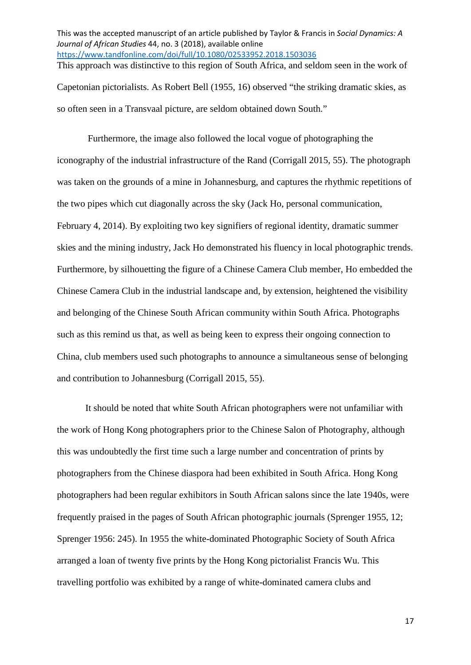This was the accepted manuscript of an article published by Taylor & Francis in *Social Dynamics: A Journal of African Studies* 44, no. 3 (2018), available online <https://www.tandfonline.com/doi/full/10.1080/02533952.2018.1503036> This approach was distinctive to this region of South Africa, and seldom seen in the work of

Capetonian pictorialists. As Robert Bell (1955, 16) observed "the striking dramatic skies, as so often seen in a Transvaal picture, are seldom obtained down South."

Furthermore, the image also followed the local vogue of photographing the iconography of the industrial infrastructure of the Rand (Corrigall 2015, 55). The photograph was taken on the grounds of a mine in Johannesburg, and captures the rhythmic repetitions of the two pipes which cut diagonally across the sky (Jack Ho, personal communication, February 4, 2014). By exploiting two key signifiers of regional identity, dramatic summer skies and the mining industry, Jack Ho demonstrated his fluency in local photographic trends. Furthermore, by silhouetting the figure of a Chinese Camera Club member, Ho embedded the Chinese Camera Club in the industrial landscape and, by extension, heightened the visibility and belonging of the Chinese South African community within South Africa. Photographs such as this remind us that, as well as being keen to express their ongoing connection to China, club members used such photographs to announce a simultaneous sense of belonging and contribution to Johannesburg (Corrigall 2015, 55).

It should be noted that white South African photographers were not unfamiliar with the work of Hong Kong photographers prior to the Chinese Salon of Photography, although this was undoubtedly the first time such a large number and concentration of prints by photographers from the Chinese diaspora had been exhibited in South Africa. Hong Kong photographers had been regular exhibitors in South African salons since the late 1940s, were frequently praised in the pages of South African photographic journals (Sprenger 1955, 12; Sprenger 1956: 245). In 1955 the white-dominated Photographic Society of South Africa arranged a loan of twenty five prints by the Hong Kong pictorialist Francis Wu. This travelling portfolio was exhibited by a range of white-dominated camera clubs and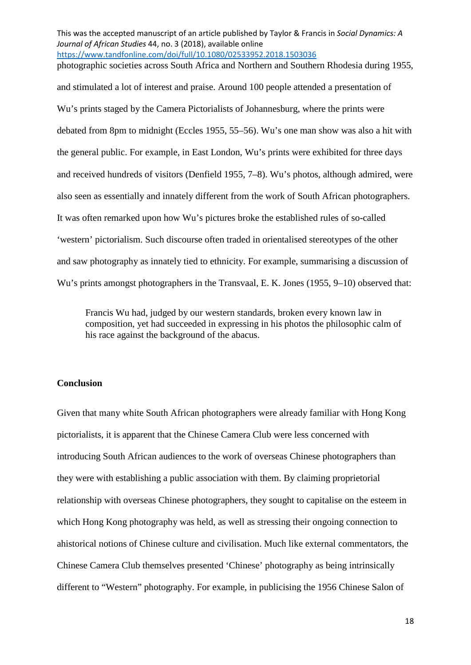This was the accepted manuscript of an article published by Taylor & Francis in *Social Dynamics: A Journal of African Studies* 44, no. 3 (2018), available online <https://www.tandfonline.com/doi/full/10.1080/02533952.2018.1503036> photographic societies across South Africa and Northern and Southern Rhodesia during 1955,

and stimulated a lot of interest and praise. Around 100 people attended a presentation of Wu's prints staged by the Camera Pictorialists of Johannesburg, where the prints were debated from 8pm to midnight (Eccles 1955, 55–56). Wu's one man show was also a hit with the general public. For example, in East London, Wu's prints were exhibited for three days and received hundreds of visitors (Denfield 1955, 7–8). Wu's photos, although admired, were also seen as essentially and innately different from the work of South African photographers. It was often remarked upon how Wu's pictures broke the established rules of so-called 'western' pictorialism. Such discourse often traded in orientalised stereotypes of the other and saw photography as innately tied to ethnicity. For example, summarising a discussion of Wu's prints amongst photographers in the Transvaal, E. K. Jones (1955, 9–10) observed that:

Francis Wu had, judged by our western standards, broken every known law in composition, yet had succeeded in expressing in his photos the philosophic calm of his race against the background of the abacus.

### **Conclusion**

Given that many white South African photographers were already familiar with Hong Kong pictorialists, it is apparent that the Chinese Camera Club were less concerned with introducing South African audiences to the work of overseas Chinese photographers than they were with establishing a public association with them. By claiming proprietorial relationship with overseas Chinese photographers, they sought to capitalise on the esteem in which Hong Kong photography was held, as well as stressing their ongoing connection to ahistorical notions of Chinese culture and civilisation. Much like external commentators, the Chinese Camera Club themselves presented 'Chinese' photography as being intrinsically different to "Western" photography. For example, in publicising the 1956 Chinese Salon of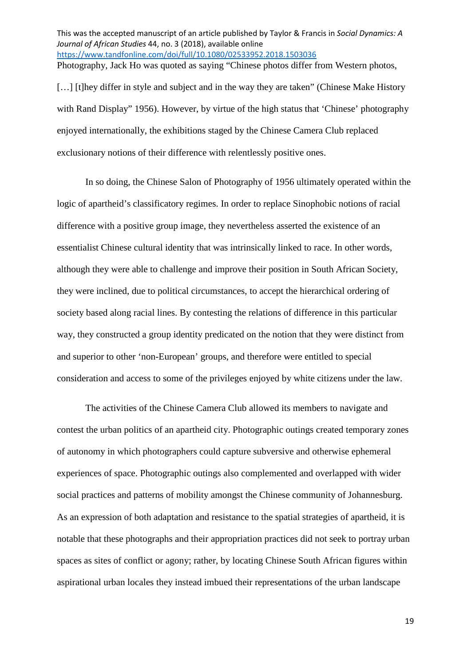This was the accepted manuscript of an article published by Taylor & Francis in *Social Dynamics: A Journal of African Studies* 44, no. 3 (2018), available online <https://www.tandfonline.com/doi/full/10.1080/02533952.2018.1503036> Photography, Jack Ho was quoted as saying "Chinese photos differ from Western photos,

[...] [t]hey differ in style and subject and in the way they are taken" (Chinese Make History with Rand Display" 1956). However, by virtue of the high status that 'Chinese' photography enjoyed internationally, the exhibitions staged by the Chinese Camera Club replaced exclusionary notions of their difference with relentlessly positive ones.

In so doing, the Chinese Salon of Photography of 1956 ultimately operated within the logic of apartheid's classificatory regimes. In order to replace Sinophobic notions of racial difference with a positive group image, they nevertheless asserted the existence of an essentialist Chinese cultural identity that was intrinsically linked to race. In other words, although they were able to challenge and improve their position in South African Society, they were inclined, due to political circumstances, to accept the hierarchical ordering of society based along racial lines. By contesting the relations of difference in this particular way, they constructed a group identity predicated on the notion that they were distinct from and superior to other 'non-European' groups, and therefore were entitled to special consideration and access to some of the privileges enjoyed by white citizens under the law.

The activities of the Chinese Camera Club allowed its members to navigate and contest the urban politics of an apartheid city. Photographic outings created temporary zones of autonomy in which photographers could capture subversive and otherwise ephemeral experiences of space. Photographic outings also complemented and overlapped with wider social practices and patterns of mobility amongst the Chinese community of Johannesburg. As an expression of both adaptation and resistance to the spatial strategies of apartheid, it is notable that these photographs and their appropriation practices did not seek to portray urban spaces as sites of conflict or agony; rather, by locating Chinese South African figures within aspirational urban locales they instead imbued their representations of the urban landscape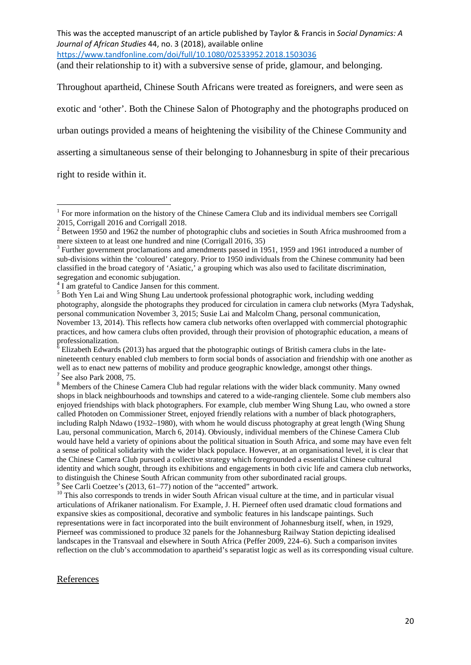(and their relationship to it) with a subversive sense of pride, glamour, and belonging.

Throughout apartheid, Chinese South Africans were treated as foreigners, and were seen as exotic and 'other'. Both the Chinese Salon of Photography and the photographs produced on urban outings provided a means of heightening the visibility of the Chinese Community and asserting a simultaneous sense of their belonging to Johannesburg in spite of their precarious

right to reside within it.

#### References

<sup>&</sup>lt;sup>1</sup> For more information on the history of the Chinese Camera Club and its individual members see Corrigall 2015, Corrigall 2016 and Corrigall 2018.

<sup>&</sup>lt;sup>2</sup> Between 1950 and 1962 the number of photographic clubs and societies in South Africa mushroomed from a mere sixteen to at least one hundred and nine (Corrigall 2016, 35)<br><sup>3</sup> Further government proclamations and amendments passed in 1951, 1959 and 1961 introduced a number of

sub-divisions within the 'coloured' category. Prior to 1950 individuals from the Chinese community had been classified in the broad category of 'Asiatic,' a grouping which was also used to facilitate discrimination, segregation and economic subjugation.

<sup>&</sup>lt;sup>4</sup> I am grateful to Candice Jansen for this comment.

<sup>&</sup>lt;sup>5</sup> Both Yen Lai and Wing Shung Lau undertook professional photographic work, including wedding photography, alongside the photographs they produced for circulation in camera club networks (Myra Tadyshak, personal communication November 3, 2015; Susie Lai and Malcolm Chang, personal communication, November 13, 2014). This reflects how camera club networks often overlapped with commercial photographic practices, and how camera clubs often provided, through their provision of photographic education, a means of professionalization.

 $6$  Elizabeth Edwards (2013) has argued that the photographic outings of British camera clubs in the latenineteenth century enabled club members to form social bonds of association and friendship with one another as well as to enact new patterns of mobility and produce geographic knowledge, amongst other things.<br><sup>7</sup> See also Park 2008, 75.

<sup>&</sup>lt;sup>8</sup> Members of the Chinese Camera Club had regular relations with the wider black community. Many owned shops in black neighbourhoods and townships and catered to a wide-ranging clientele. Some club members also enjoyed friendships with black photographers. For example, club member Wing Shung Lau, who owned a store called Photoden on Commissioner Street, enjoyed friendly relations with a number of black photographers, including Ralph Ndawo (1932–1980), with whom he would discuss photography at great length (Wing Shung Lau, personal communication, March 6, 2014). Obviously, individual members of the Chinese Camera Club would have held a variety of opinions about the political situation in South Africa, and some may have even felt a sense of political solidarity with the wider black populace. However, at an organisational level, it is clear that the Chinese Camera Club pursued a collective strategy which foregrounded a essentialist Chinese cultural identity and which sought, through its exhibitions and engagements in both civic life and camera club networks, to distinguish the Chinese South African community from other subordinated racial groups.<br><sup>9</sup> See Carli Coetzee's (2013, 61–77) notion of the "accented" artwork.<br><sup>10</sup> This also corresponds to trends in wider South African

articulations of Afrikaner nationalism. For Example, J. H. Pierneef often used dramatic cloud formations and expansive skies as compositional, decorative and symbolic features in his landscape paintings. Such representations were in fact incorporated into the built environment of Johannesburg itself, when, in 1929, Pierneef was commissioned to produce 32 panels for the Johannesburg Railway Station depicting idealised landscapes in the Transvaal and elsewhere in South Africa (Peffer 2009, 224–6). Such a comparison invites reflection on the club's accommodation to apartheid's separatist logic as well as its corresponding visual culture.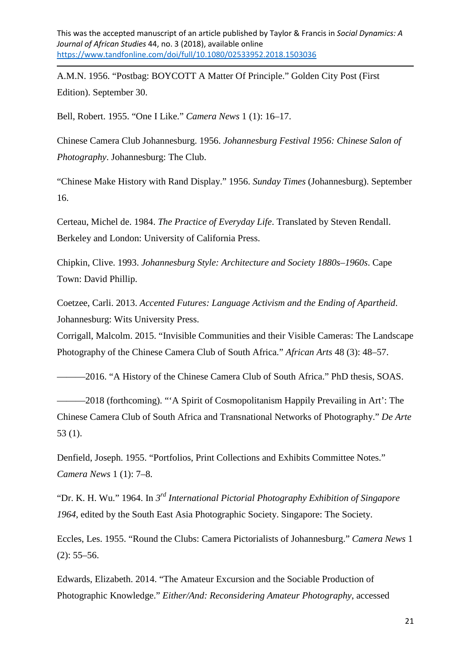A.M.N. 1956. "Postbag: BOYCOTT A Matter Of Principle." Golden City Post (First Edition). September 30.

Bell, Robert. 1955. "One I Like." *Camera News* 1 (1): 16–17.

**.** 

Chinese Camera Club Johannesburg. 1956. *Johannesburg Festival 1956: Chinese Salon of Photography*. Johannesburg: The Club.

"Chinese Make History with Rand Display." 1956. *Sunday Times* (Johannesburg). September 16.

Certeau, Michel de. 1984. *The Practice of Everyday Life*. Translated by Steven Rendall. Berkeley and London: University of California Press.

Chipkin, Clive. 1993. *Johannesburg Style: Architecture and Society 1880s–1960s*. Cape Town: David Phillip.

Coetzee, Carli. 2013. *Accented Futures: Language Activism and the Ending of Apartheid*. Johannesburg: Wits University Press.

Corrigall, Malcolm. 2015. "Invisible Communities and their Visible Cameras: The Landscape Photography of the Chinese Camera Club of South Africa." *African Arts* 48 (3): 48–57.

———2016. "A History of the Chinese Camera Club of South Africa." PhD thesis, SOAS.

———2018 (forthcoming). "'A Spirit of Cosmopolitanism Happily Prevailing in Art': The Chinese Camera Club of South Africa and Transnational Networks of Photography." *De Arte* 53 (1).

Denfield, Joseph. 1955. "Portfolios, Print Collections and Exhibits Committee Notes." *Camera News* 1 (1): 7–8.

"Dr. K. H. Wu." 1964. In *3rd International Pictorial Photography Exhibition of Singapore 1964*, edited by the South East Asia Photographic Society. Singapore: The Society.

Eccles, Les. 1955. "Round the Clubs: Camera Pictorialists of Johannesburg." *Camera News* 1  $(2): 55-56.$ 

Edwards, Elizabeth. 2014. "The Amateur Excursion and the Sociable Production of Photographic Knowledge." *Either/And: Reconsidering Amateur Photography*, accessed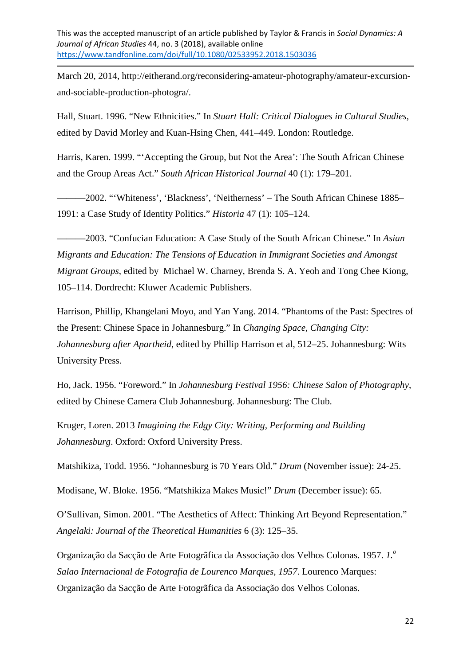**.** 

March 20, 2014, http://eitherand.org/reconsidering-amateur-photography/amateur-excursionand-sociable-production-photogra/.

Hall, Stuart. 1996. "New Ethnicities." In *Stuart Hall: Critical Dialogues in Cultural Studies*, edited by David Morley and Kuan-Hsing Chen, 441–449. London: Routledge.

Harris, Karen. 1999. "'Accepting the Group, but Not the Area': The South African Chinese and the Group Areas Act." *South African Historical Journal* 40 (1): 179–201.

———2002. "'Whiteness', 'Blackness', 'Neitherness' – The South African Chinese 1885– 1991: a Case Study of Identity Politics." *Historia* 47 (1): 105–124.

———2003. "Confucian Education: A Case Study of the South African Chinese." In *Asian Migrants and Education: The Tensions of Education in Immigrant Societies and Amongst Migrant Groups*, edited by Michael W. Charney, Brenda S. A. Yeoh and Tong Chee Kiong, 105–114. Dordrecht: Kluwer Academic Publishers.

Harrison, Phillip, Khangelani Moyo, and Yan Yang. 2014. "Phantoms of the Past: Spectres of the Present: Chinese Space in Johannesburg." In *Changing Space, Changing City: Johannesburg after Apartheid*, edited by Phillip Harrison et al, 512–25. Johannesburg: Wits University Press.

Ho, Jack. 1956. "Foreword." In *Johannesburg Festival 1956: Chinese Salon of Photography*, edited by Chinese Camera Club Johannesburg. Johannesburg: The Club.

Kruger, Loren. 2013 *Imagining the Edgy City: Writing, Performing and Building Johannesburg*. Oxford: Oxford University Press.

Matshikiza, Todd. 1956. "Johannesburg is 70 Years Old." *Drum* (November issue): 24-25.

Modisane, W. Bloke. 1956. "Matshikiza Makes Music!" *Drum* (December issue): 65.

O'Sullivan, Simon. 2001. "The Aesthetics of Affect: Thinking Art Beyond Representation." *Angelaki: Journal of the Theoretical Humanities* 6 (3): 125–35.

Organização da Sacção de Arte Fotogrãfica da Associação dos Velhos Colonas. 1957. *1.<sup>o</sup> Salao Internacional de Fotografia de Lourenco Marques, 1957*. Lourenco Marques: Organização da Sacção de Arte Fotogrãfica da Associação dos Velhos Colonas.